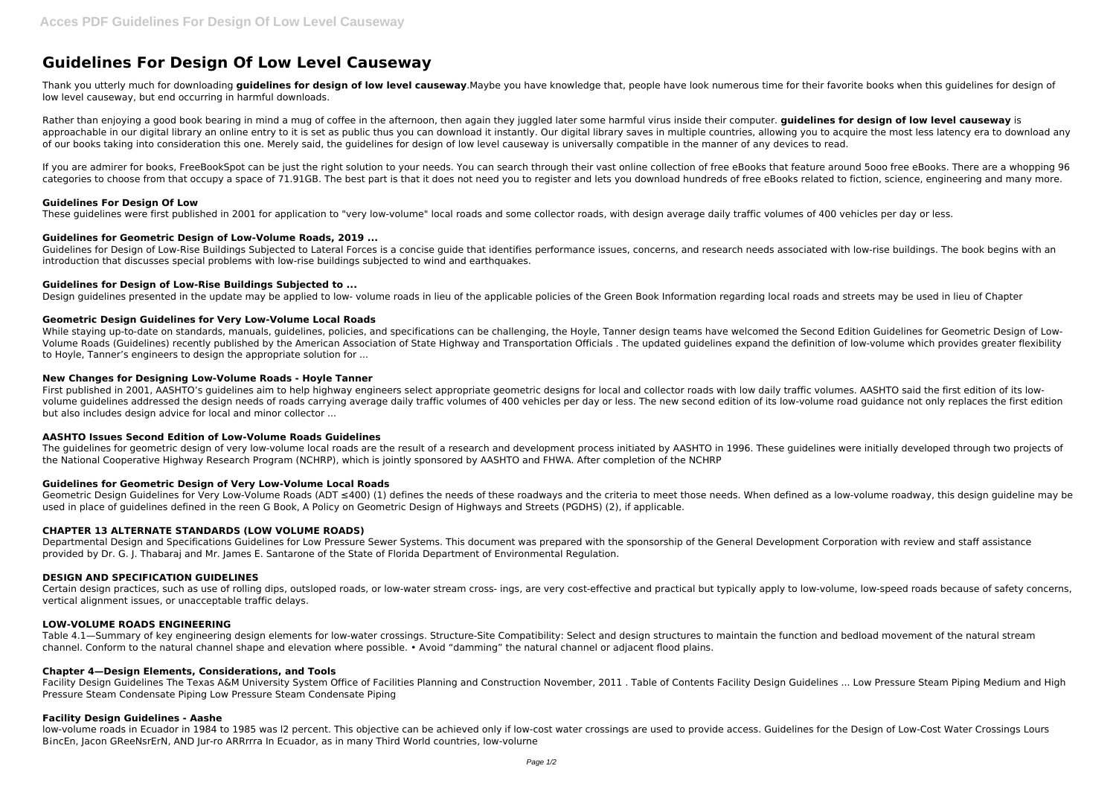# **Guidelines For Design Of Low Level Causeway**

Thank you utterly much for downloading **guidelines for design of low level causeway**.Maybe you have knowledge that, people have look numerous time for their favorite books when this guidelines for design of low level causeway, but end occurring in harmful downloads.

Rather than enjoying a good book bearing in mind a mug of coffee in the afternoon, then again they juggled later some harmful virus inside their computer, **guidelines for design of low level causeway** is approachable in our digital library an online entry to it is set as public thus you can download it instantly. Our digital library saves in multiple countries, allowing you to acquire the most less latency era to download of our books taking into consideration this one. Merely said, the guidelines for design of low level causeway is universally compatible in the manner of any devices to read.

If you are admirer for books, FreeBookSpot can be just the right solution to your needs. You can search through their vast online collection of free eBooks that feature around 5ooo free eBooks. There are a whopping 96 categories to choose from that occupy a space of 71.91GB. The best part is that it does not need you to register and lets you download hundreds of free eBooks related to fiction, science, engineering and many more.

Guidelines for Design of Low-Rise Buildings Subjected to Lateral Forces is a concise guide that identifies performance issues, concerns, and research needs associated with low-rise buildings. The book begins with an introduction that discusses special problems with low-rise buildings subjected to wind and earthquakes.

# **Guidelines For Design Of Low**

While staying up-to-date on standards, manuals, quidelines, policies, and specifications can be challenging, the Hoyle, Tanner design teams have welcomed the Second Edition Guidelines for Geometric Design of Low-Volume Roads (Guidelines) recently published by the American Association of State Highway and Transportation Officials . The updated guidelines expand the definition of low-volume which provides greater flexibility to Hoyle, Tanner's engineers to design the appropriate solution for ...

These guidelines were first published in 2001 for application to "very low-volume" local roads and some collector roads, with design average daily traffic volumes of 400 vehicles per day or less.

# **Guidelines for Geometric Design of Low-Volume Roads, 2019 ...**

First published in 2001, AASHTO's quidelines aim to help highway engineers select appropriate geometric designs for local and collector roads with low daily traffic volumes. AASHTO said the first edition of its lowvolume guidelines addressed the design needs of roads carrying average daily traffic volumes of 400 vehicles per day or less. The new second edition of its low-volume road guidance not only replaces the first edition but also includes design advice for local and minor collector ...

The guidelines for geometric design of very low-volume local roads are the result of a research and development process initiated by AASHTO in 1996. These guidelines were initially developed through two projects of the National Cooperative Highway Research Program (NCHRP), which is jointly sponsored by AASHTO and FHWA. After completion of the NCHRP

# **Guidelines for Design of Low-Rise Buildings Subjected to ...**

Geometric Design Guidelines for Very Low-Volume Roads (ADT ≤400) (1) defines the needs of these roadways and the criteria to meet those needs. When defined as a low-volume roadway, this design guideline may be used in place of guidelines defined in the reen G Book, A Policy on Geometric Design of Highways and Streets (PGDHS) (2), if applicable.

Design guidelines presented in the update may be applied to low- volume roads in lieu of the applicable policies of the Green Book Information regarding local roads and streets may be used in lieu of Chapter

# **Geometric Design Guidelines for Very Low-Volume Local Roads**

#### **New Changes for Designing Low-Volume Roads - Hoyle Tanner**

# **AASHTO Issues Second Edition of Low-Volume Roads Guidelines**

# **Guidelines for Geometric Design of Very Low-Volume Local Roads**

# **CHAPTER 13 ALTERNATE STANDARDS (LOW VOLUME ROADS)**

Departmental Design and Specifications Guidelines for Low Pressure Sewer Systems. This document was prepared with the sponsorship of the General Development Corporation with review and staff assistance provided by Dr. G. J. Thabaraj and Mr. James E. Santarone of the State of Florida Department of Environmental Regulation.

# **DESIGN AND SPECIFICATION GUIDELINES**

Certain design practices, such as use of rolling dips, outsloped roads, or low-water stream cross- ings, are very cost-effective and practical but typically apply to low-volume, low-speed roads because of safety concerns, vertical alignment issues, or unacceptable traffic delays.

#### **LOW-VOLUME ROADS ENGINEERING**

Table 4.1—Summary of key engineering design elements for low-water crossings. Structure-Site Compatibility: Select and design structures to maintain the function and bedload movement of the natural stream channel. Conform to the natural channel shape and elevation where possible. • Avoid "damming" the natural channel or adjacent flood plains.

#### **Chapter 4—Design Elements, Considerations, and Tools**

Facility Design Guidelines The Texas A&M University System Office of Facilities Planning and Construction November, 2011 . Table of Contents Facility Design Guidelines ... Low Pressure Steam Piping Medium and High Pressure Steam Condensate Piping Low Pressure Steam Condensate Piping

#### **Facility Design Guidelines - Aashe**

low-volume roads in Ecuador in 1984 to 1985 was I2 percent. This objective can be achieved only if low-cost water crossings are used to provide access. Guidelines for the Design of Low-Cost Water Crossings Lours BincEn, Jacon GReeNsrErN, AND Jur-ro ARRrrra In Ecuador, as in many Third World countries, low-volurne